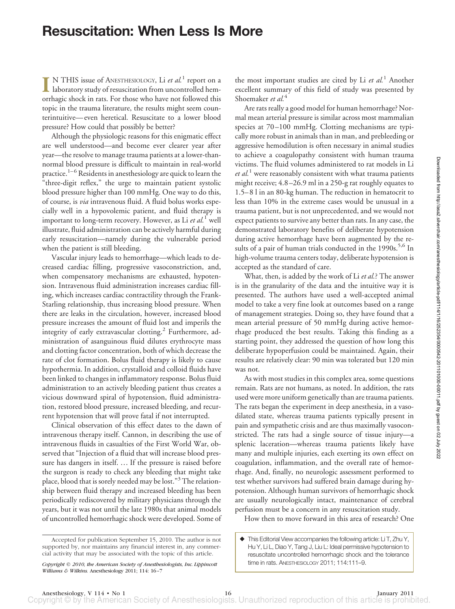## **Resuscitation: When Less Is More**

**I** N THIS issue of ANESTHESIOLOGY, Li *et al.*<sup>1</sup> report on a laboratory study of resuscitation from uncontrolled hemorrhagic shock in rats. For those who have not followed this topic in the trauma literature, the results might seem counterintuitive— even heretical. Resuscitate to a lower blood pressure? How could that possibly be better?

Although the physiologic reasons for this enigmatic effect are well understood—and become ever clearer year after year—the resolve to manage trauma patients at a lower-thannormal blood pressure is difficult to maintain in real-world practice.<sup>1–6</sup> Residents in anesthesiology are quick to learn the "three-digit reflex," the urge to maintain patient systolic blood pressure higher than 100 mmHg. One way to do this, of course, is *via* intravenous fluid. A fluid bolus works especially well in a hypovolemic patient, and fluid therapy is important to long-term recovery. However, as Li *et al.*<sup>1</sup> well illustrate, fluid administration can be actively harmful during early resuscitation—namely during the vulnerable period when the patient is still bleeding.

Vascular injury leads to hemorrhage—which leads to decreased cardiac filling, progressive vasoconstriction, and, when compensatory mechanisms are exhausted, hypotension. Intravenous fluid administration increases cardiac filling, which increases cardiac contractility through the Frank-Starling relationship, thus increasing blood pressure. When there are leaks in the circulation, however, increased blood pressure increases the amount of fluid lost and imperils the integrity of early extravascular clotting.<sup>2</sup> Furthermore, administration of asanguinous fluid dilutes erythrocyte mass and clotting factor concentration, both of which decrease the rate of clot formation. Bolus fluid therapy is likely to cause hypothermia. In addition, crystalloid and colloid fluids have been linked to changes in inflammatory response. Bolus fluid administration to an actively bleeding patient thus creates a vicious downward spiral of hypotension, fluid administration, restored blood pressure, increased bleeding, and recurrent hypotension that will prove fatal if not interrupted.

Clinical observation of this effect dates to the dawn of intravenous therapy itself. Cannon, in describing the use of intravenous fluids in casualties of the First World War, observed that "Injection of a fluid that will increase blood pressure has dangers in itself. … If the pressure is raised before the surgeon is ready to check any bleeding that might take place, blood that is sorely needed may be lost."<sup>3</sup> The relationship between fluid therapy and increased bleeding has been periodically rediscovered by military physicians through the years, but it was not until the late 1980s that animal models of uncontrolled hemorrhagic shock were developed. Some of the most important studies are cited by Li *et al.*<sup>1</sup> Another excellent summary of this field of study was presented by Shoemaker *et al.*<sup>4</sup>

Are rats really a good model for human hemorrhage? Normal mean arterial pressure is similar across most mammalian species at 70-100 mmHg. Clotting mechanisms are typically more robust in animals than in man, and prebleeding or aggressive hemodilution is often necessary in animal studies to achieve a coagulopathy consistent with human trauma victims. The fluid volumes administered to rat models in Li *et al.*<sup>1</sup> were reasonably consistent with what trauma patients might receive; 4.8 –26.9 ml in a 250-g rat roughly equates to 1.5– 8 l in an 80-kg human. The reduction in hematocrit to less than 10% in the extreme cases would be unusual in a trauma patient, but is not unprecedented, and we would not expect patients to survive any better than rats. In any case, the demonstrated laboratory benefits of deliberate hypotension during active hemorrhage have been augmented by the results of a pair of human trials conducted in the 1990s.<sup>5,6</sup> In high-volume trauma centers today, deliberate hypotension is accepted as the standard of care.

What, then, is added by the work of Li *et al.*? The answer is in the granularity of the data and the intuitive way it is presented. The authors have used a well-accepted animal model to take a very fine look at outcomes based on a range of management strategies. Doing so, they have found that a mean arterial pressure of 50 mmHg during active hemorrhage produced the best results. Taking this finding as a starting point, they addressed the question of how long this deliberate hypoperfusion could be maintained. Again, their results are relatively clear: 90 min was tolerated but 120 min was not.

As with most studies in this complex area, some questions remain. Rats are not humans, as noted. In addition, the rats used were more uniform genetically than are trauma patients. The rats began the experiment in deep anesthesia, in a vasodilated state, whereas trauma patients typically present in pain and sympathetic crisis and are thus maximally vasoconstricted. The rats had a single source of tissue injury—a splenic laceration—whereas trauma patients likely have many and multiple injuries, each exerting its own effect on coagulation, inflammation, and the overall rate of hemorrhage. And, finally, no neurologic assessment performed to test whether survivors had suffered brain damage during hypotension. Although human survivors of hemorrhagic shock are usually neurologically intact, maintenance of cerebral perfusion must be a concern in any resuscitation study.

How then to move forward in this area of research? One

Accepted for publication September 15, 2010. The author is not supported by, nor maintains any financial interest in, any commercial activity that may be associated with the topic of this article.

*Copyright © 2010, the American Society of Anesthesiologists, Inc. Lippincott Williams & Wilkins.* Anesthesiology 2011; 114: 16 –7

This Editorial View accompanies the following article: Li T, Zhu Y, Hu Y, Li L, Diao Y, Tang J, Liu L: Ideal permissive hypotension to resuscitate uncontrolled hemorrhagic shock and the tolerance time in rats. ANESTHESIOLOGY 2011; 114:111–9.